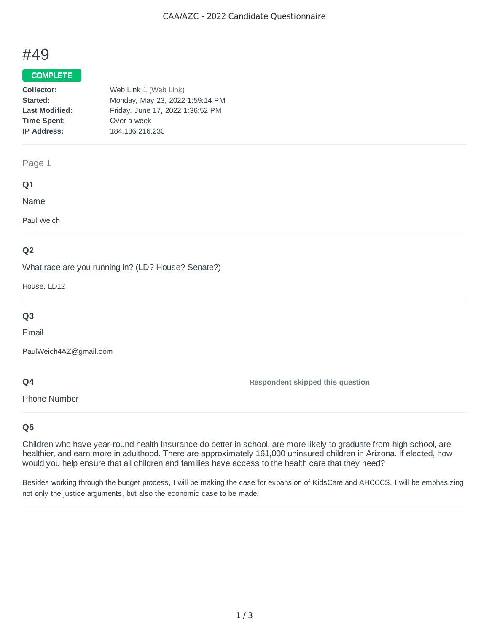# #49

#### COMPLETE

| Collector:            | Web Link 1 (Web Link)            |
|-----------------------|----------------------------------|
| Started:              | Monday, May 23, 2022 1:59:14 PM  |
| <b>Last Modified:</b> | Friday, June 17, 2022 1:36:52 PM |
| <b>Time Spent:</b>    | Over a week                      |
| <b>IP Address:</b>    | 184.186.216.230                  |

#### Page 1

#### **Q1**

Name

Paul Weich

# **Q2**

What race are you running in? (LD? House? Senate?)

House, LD12

# **Q3**

Email

PaulWeich4AZ@gmail.com

# **Q4**

**Respondent skipped this question**

Phone Number

# **Q5**

Children who have year-round health Insurance do better in school, are more likely to graduate from high school, are healthier, and earn more in adulthood. There are approximately 161,000 uninsured children in Arizona. If elected, how would you help ensure that all children and families have access to the health care that they need?

Besides working through the budget process, I will be making the case for expansion of KidsCare and AHCCCS. I will be emphasizing not only the justice arguments, but also the economic case to be made.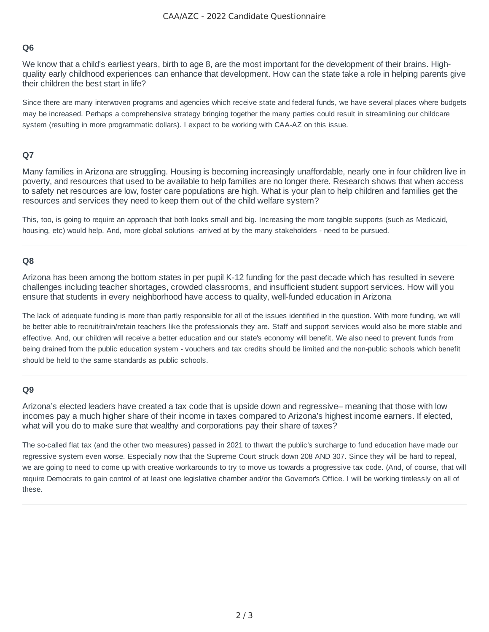### **Q6**

We know that a child's earliest years, birth to age 8, are the most important for the development of their brains. Highquality early childhood experiences can enhance that development. How can the state take a role in helping parents give their children the best start in life?

Since there are many interwoven programs and agencies which receive state and federal funds, we have several places where budgets may be increased. Perhaps a comprehensive strategy bringing together the many parties could result in streamlining our childcare system (resulting in more programmatic dollars). I expect to be working with CAA-AZ on this issue.

# **Q7**

Many families in Arizona are struggling. Housing is becoming increasingly unaffordable, nearly one in four children live in poverty, and resources that used to be available to help families are no longer there. Research shows that when access to safety net resources are low, foster care populations are high. What is your plan to help children and families get the resources and services they need to keep them out of the child welfare system?

This, too, is going to require an approach that both looks small and big. Increasing the more tangible supports (such as Medicaid, housing, etc) would help. And, more global solutions -arrived at by the many stakeholders - need to be pursued.

# **Q8**

Arizona has been among the bottom states in per pupil K-12 funding for the past decade which has resulted in severe challenges including teacher shortages, crowded classrooms, and insufficient student support services. How will you ensure that students in every neighborhood have access to quality, well-funded education in Arizona

The lack of adequate funding is more than partly responsible for all of the issues identified in the question. With more funding, we will be better able to recruit/train/retain teachers like the professionals they are. Staff and support services would also be more stable and effective. And, our children will receive a better education and our state's economy will benefit. We also need to prevent funds from being drained from the public education system - vouchers and tax credits should be limited and the non-public schools which benefit should be held to the same standards as public schools.

#### **Q9**

Arizona's elected leaders have created a tax code that is upside down and regressive– meaning that those with low incomes pay a much higher share of their income in taxes compared to Arizona's highest income earners. If elected, what will you do to make sure that wealthy and corporations pay their share of taxes?

The so-called flat tax (and the other two measures) passed in 2021 to thwart the public's surcharge to fund education have made our regressive system even worse. Especially now that the Supreme Court struck down 208 AND 307. Since they will be hard to repeal, we are going to need to come up with creative workarounds to try to move us towards a progressive tax code. (And, of course, that will require Democrats to gain control of at least one legislative chamber and/or the Governor's Office. I will be working tirelessly on all of these.